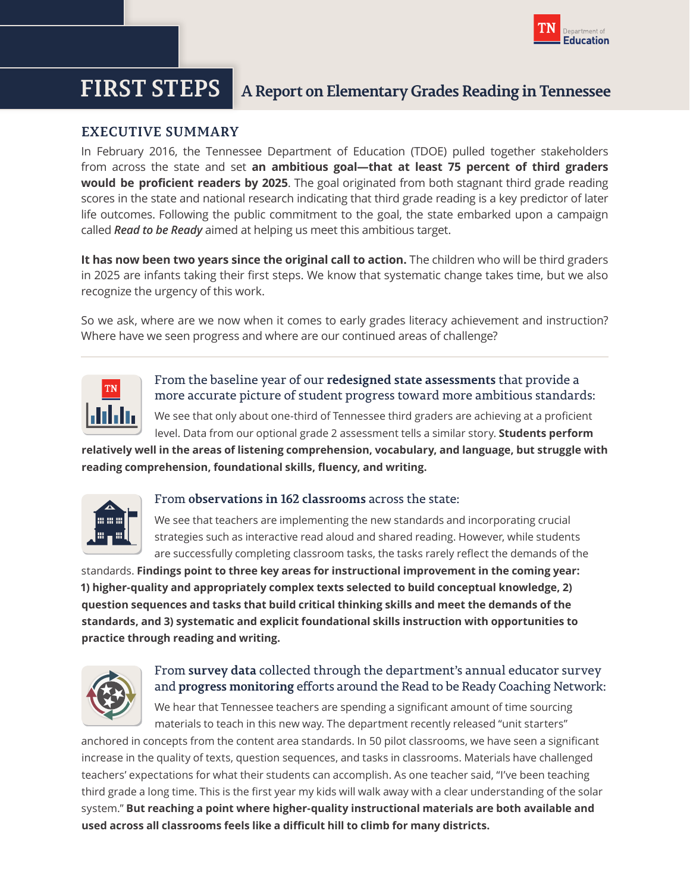

# **FIRST STEPS A Report on Elementary Grades Reading in Tennessee**

## **EXECUTIVE SUMMARY**

In February 2016, the Tennessee Department of Education (TDOE) pulled together stakeholders from across the state and set **an ambitious goal—that at least 75 percent of third graders would be proficient readers by 2025**. The goal originated from both stagnant third grade reading scores in the state and national research indicating that third grade reading is a key predictor of later life outcomes. Following the public commitment to the goal, the state embarked upon a campaign called *Read to be Ready* aimed at helping us meet this ambitious target.

**It has now been two years since the original call to action.** The children who will be third graders in 2025 are infants taking their first steps. We know that systematic change takes time, but we also recognize the urgency of this work.

So we ask, where are we now when it comes to early grades literacy achievement and instruction? Where have we seen progress and where are our continued areas of challenge?



From the baseline year of our **redesigned state assessments** that provide a more accurate picture of student progress toward more ambitious standards:

We see that only about one-third of Tennessee third graders are achieving at a proficient level. Data from our optional grade 2 assessment tells a similar story. **Students perform** 

**relatively well in the areas of listening comprehension, vocabulary, and language, but struggle with reading comprehension, foundational skills, fluency, and writing.**



### From **observations in 162 classrooms** across the state:

We see that teachers are implementing the new standards and incorporating crucial strategies such as interactive read aloud and shared reading. However, while students are successfully completing classroom tasks, the tasks rarely reflect the demands of the

standards. **Findings point to three key areas for instructional improvement in the coming year: 1) higher-quality and appropriately complex texts selected to build conceptual knowledge, 2) question sequences and tasks that build critical thinking skills and meet the demands of the standards, and 3) systematic and explicit foundational skills instruction with opportunities to practice through reading and writing.**



## From **survey data** collected through the department's annual educator survey and **progress monitoring** efforts around the Read to be Ready Coaching Network:

We hear that Tennessee teachers are spending a significant amount of time sourcing materials to teach in this new way. The department recently released "unit starters"

anchored in concepts from the content area standards. In 50 pilot classrooms, we have seen a significant increase in the quality of texts, question sequences, and tasks in classrooms. Materials have challenged teachers' expectations for what their students can accomplish. As one teacher said, "I've been teaching third grade a long time. This is the first year my kids will walk away with a clear understanding of the solar system." **But reaching a point where higher-quality instructional materials are both available and used across all classrooms feels like a difficult hill to climb for many districts.**